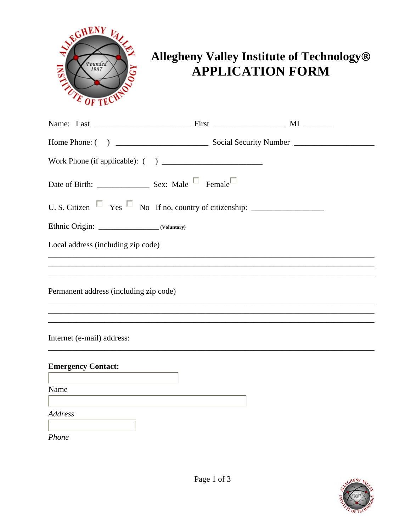

## Allegheny Valley Institute of Technology® **APPLICATION FORM**

| Local address (including zip code)     |                                                                                                                       |  |
|----------------------------------------|-----------------------------------------------------------------------------------------------------------------------|--|
|                                        |                                                                                                                       |  |
| Permanent address (including zip code) |                                                                                                                       |  |
|                                        |                                                                                                                       |  |
| Internet (e-mail) address:             |                                                                                                                       |  |
| <b>Emergency Contact:</b>              |                                                                                                                       |  |
| Name                                   | <u> 1989 - Johann Stein, mars an de Frankrik en fan it ferskearre fan it ferskearre fan it ferskearre fan it fers</u> |  |
| Address                                |                                                                                                                       |  |
| Phone                                  |                                                                                                                       |  |

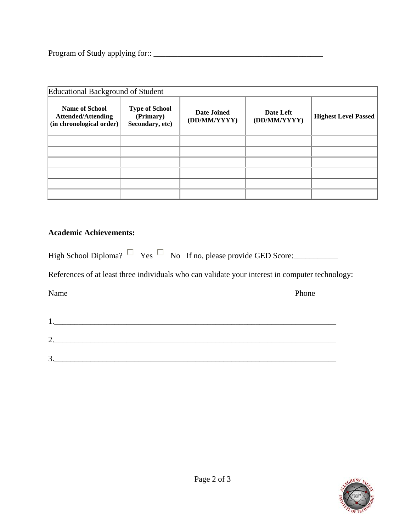Program of Study applying for:: \_\_\_\_\_\_\_\_\_\_\_\_\_\_\_\_\_\_\_\_\_\_\_\_\_\_\_\_\_\_\_\_\_\_\_\_\_\_\_\_\_\_

| Educational Background of Student                                              |                                                       |                             |                           |                             |
|--------------------------------------------------------------------------------|-------------------------------------------------------|-----------------------------|---------------------------|-----------------------------|
| <b>Name of School</b><br><b>Attended/Attending</b><br>(in chronological order) | <b>Type of School</b><br>(Primary)<br>Secondary, etc) | Date Joined<br>(DD/MM/YYYY) | Date Left<br>(DD/MM/YYYY) | <b>Highest Level Passed</b> |
|                                                                                |                                                       |                             |                           |                             |
|                                                                                |                                                       |                             |                           |                             |
|                                                                                |                                                       |                             |                           |                             |
|                                                                                |                                                       |                             |                           |                             |
|                                                                                |                                                       |                             |                           |                             |
|                                                                                |                                                       |                             |                           |                             |

## **Academic Achievements:**

|  |  |  | High School Diploma? $\Box$ Yes $\Box$ No If no, please provide GED Score: |
|--|--|--|----------------------------------------------------------------------------|
|--|--|--|----------------------------------------------------------------------------|

References of at least three individuals who can validate your interest in computer technology:

Name Phone

| . .      |  |  |
|----------|--|--|
| ⌒<br>ـ _ |  |  |
| 2<br>، ب |  |  |